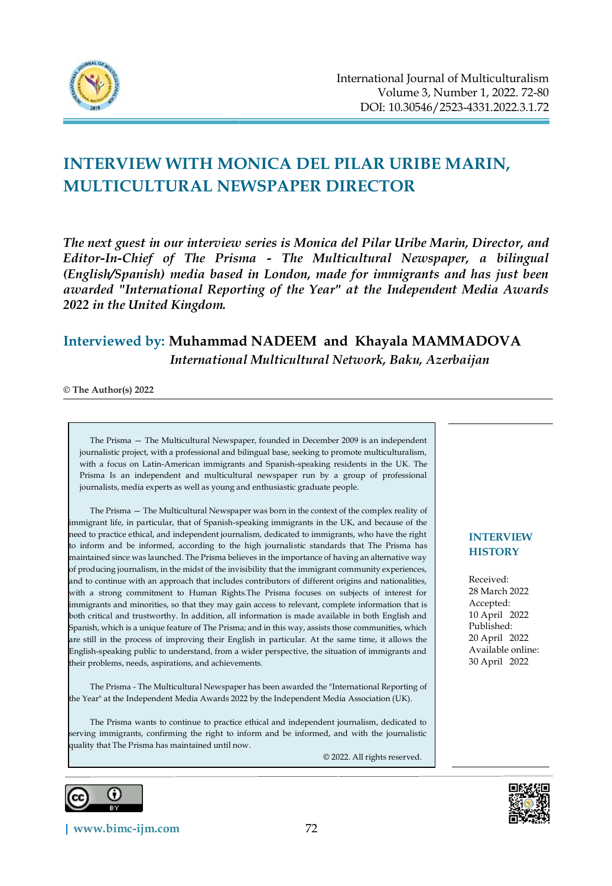

# **INTERVIEW WITH MONICA DEL PILAR URIBE MARIN, MULTICULTURAL NEWSPAPER DIRECTOR**

*The next guest in our interview series is Monica del Pilar Uribe Marin, Director, and Editor-In-Chief of The Prisma - [The Multicultural Newspaper,](http://www.theprisma.co.uk/) a bilingual (English/Spanish) media based in London, made for immigrants and has just been awarded "International Reporting of the Year" at the Independent Media Awards 2022 in the United Kingdom.*

# **Interviewed by: Muhammad NADEEM and Khayala MAMMADOVA**  *International Multicultural Network, Baku, Azerbaijan*

**© The Author(s) 2022**

The Prisma — The Multicultural Newspaper, founded in December 2009 is an independent journalistic project, with a professional and bilingual base, seeking to promote multiculturalism, with a focus on Latin-American immigrants and Spanish-speaking residents in the UK. The Prisma Is an independent and multicultural newspaper run by a group of professional journalists, media experts as well as young and enthusiastic graduate people.

The Prisma — The Multicultural Newspaper was born in the context of the complex reality of immigrant life, in particular, that of Spanish-speaking immigrants in the UK, and because of the need to practice ethical, and independent journalism, dedicated to immigrants, who have the right to inform and be informed, according to the high journalistic standards that The Prisma has maintained since was launched. The Prisma believes in the importance of having an alternative way of producing journalism, in the midst of the invisibility that the immigrant community experiences, and to continue with an approach that includes contributors of different origins and nationalities, with a strong commitment to Human Rights.The Prisma focuses on subjects of interest for immigrants and minorities, so that they may gain access to relevant, complete information that is both critical and trustworthy. In addition, all information is made available in both English and Spanish, which is a unique feature of The Prisma; and in this way, assists those communities, which are still in the process of improving their English in particular. At the same time, it allows the English-speaking public to understand, from a wider perspective, the situation of immigrants and their problems, needs, aspirations, and achievements.

The Prisma - The Multicultural Newspaper has been awarded the "International Reporting of the Year" at the Independent Media Awards 2022 by the Independent Media Association (UK).

The Prisma wants to continue to practice ethical and independent journalism, dedicated to serving immigrants, confirming the right to inform and be informed, and with the journalistic quality that The Prisma has maintained until now.

© 2022. All rights reserved.



**[| www.bimc-ijm.com](http://www.bimc-ijm.com/)** 72

#### **INTERVIEW HISTORY**

Received: 28 March 2022 Accepted: 10 April 2022 Published: 20 April 2022 Available online: 30 April 2022

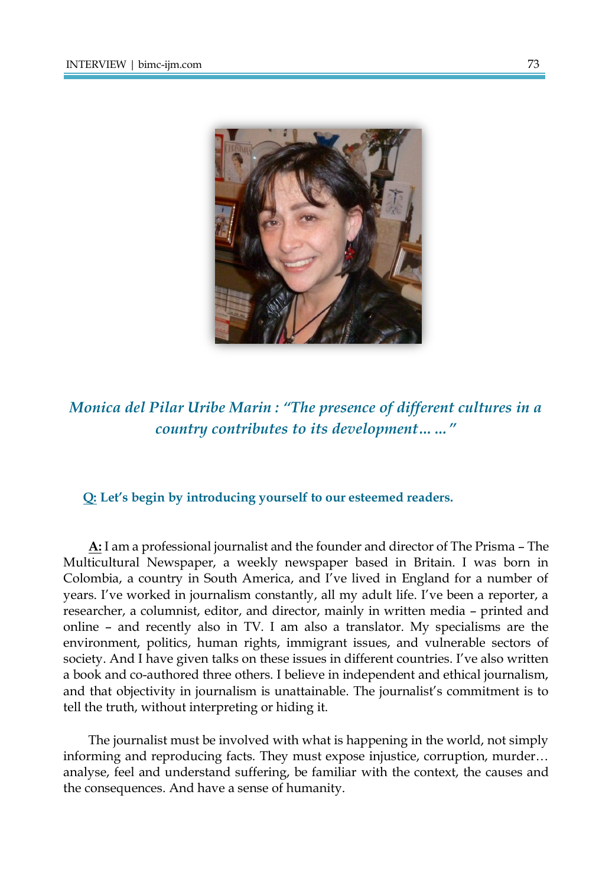

*Monica del Pilar Uribe Marin : "The presence of different cultures in a country contributes to its development……"*

#### **Q: Let's begin by introducing yourself to our esteemed readers.**

**A:** I am a professional journalist and the founder and director of The Prisma – The Multicultural Newspaper, a weekly newspaper based in Britain. I was born in Colombia, a country in South America, and I've lived in England for a number of years. I've worked in journalism constantly, all my adult life. I've been a reporter, a researcher, a columnist, editor, and director, mainly in written media – printed and online – and recently also in TV. I am also a translator. My specialisms are the environment, politics, human rights, immigrant issues, and vulnerable sectors of society. And I have given talks on these issues in different countries. I've also written a book and co-authored three others. I believe in independent and ethical journalism, and that objectivity in journalism is unattainable. The journalist's commitment is to tell the truth, without interpreting or hiding it.

The journalist must be involved with what is happening in the world, not simply informing and reproducing facts. They must expose injustice, corruption, murder… analyse, feel and understand suffering, be familiar with the context, the causes and the consequences. And have a sense of humanity.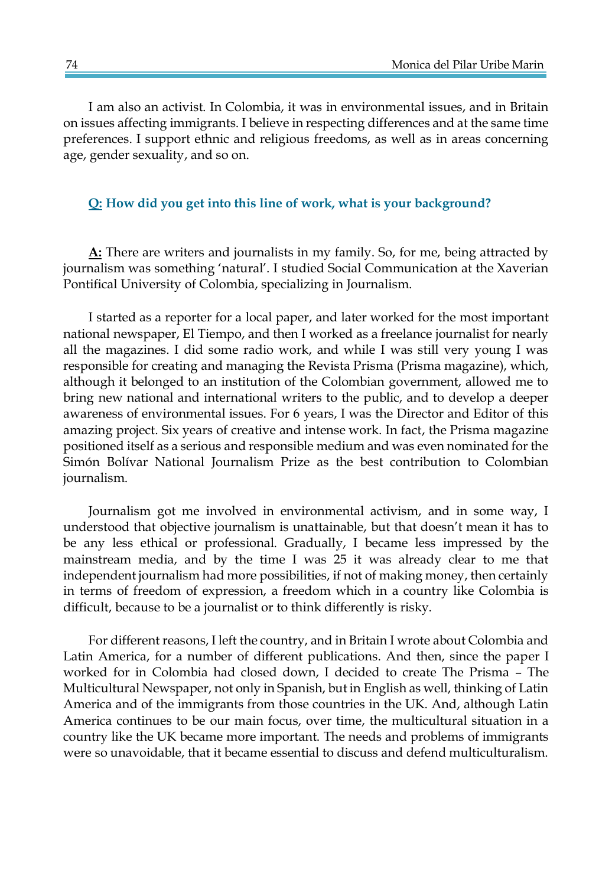I am also an activist. In Colombia, it was in environmental issues, and in Britain on issues affecting immigrants. I believe in respecting differences and at the same time preferences. I support ethnic and religious freedoms, as well as in areas concerning age, gender sexuality, and so on.

#### **Q: How did you get into this line of work, what is your background?**

**A:** There are writers and journalists in my family. So, for me, being attracted by journalism was something 'natural'. I studied Social Communication at the Xaverian Pontifical University of Colombia, specializing in Journalism.

I started as a reporter for a local paper, and later worked for the most important national newspaper, El Tiempo, and then I worked as a freelance journalist for nearly all the magazines. I did some radio work, and while I was still very young I was responsible for creating and managing the Revista Prisma (Prisma magazine), which, although it belonged to an institution of the Colombian government, allowed me to bring new national and international writers to the public, and to develop a deeper awareness of environmental issues. For 6 years, I was the Director and Editor of this amazing project. Six years of creative and intense work. In fact, the Prisma magazine positioned itself as a serious and responsible medium and was even nominated for the Simón Bolívar National Journalism Prize as the best contribution to Colombian journalism.

Journalism got me involved in environmental activism, and in some way, I understood that objective journalism is unattainable, but that doesn't mean it has to be any less ethical or professional. Gradually, I became less impressed by the mainstream media, and by the time I was 25 it was already clear to me that independent journalism had more possibilities, if not of making money, then certainly in terms of freedom of expression, a freedom which in a country like Colombia is difficult, because to be a journalist or to think differently is risky.

For different reasons, I left the country, and in Britain I wrote about Colombia and Latin America, for a number of different publications. And then, since the paper I worked for in Colombia had closed down, I decided to create The Prisma – The Multicultural Newspaper, not only in Spanish, but in English as well, thinking of Latin America and of the immigrants from those countries in the UK. And, although Latin America continues to be our main focus, over time, the multicultural situation in a country like the UK became more important. The needs and problems of immigrants were so unavoidable, that it became essential to discuss and defend multiculturalism.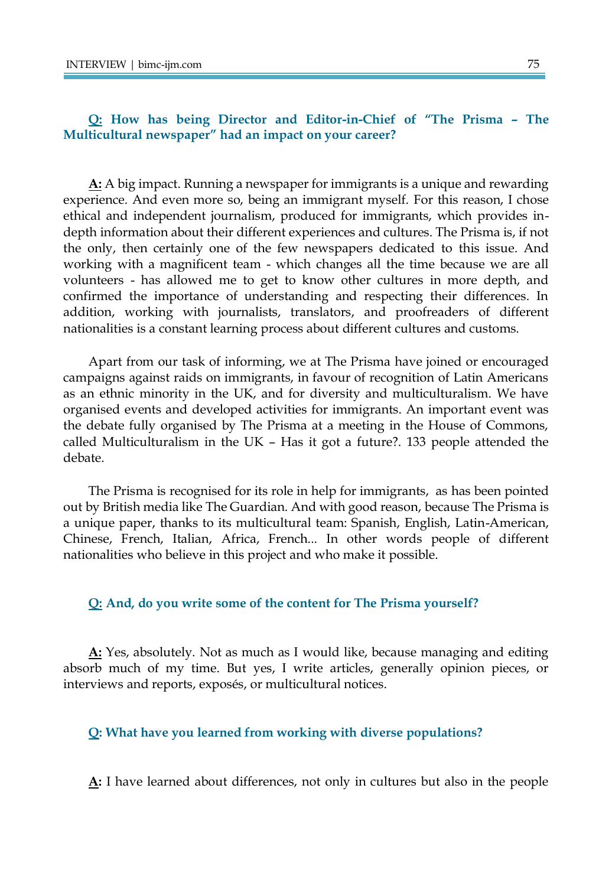### **Q: How has being Director and Editor-in-Chief of "The Prisma – The Multicultural newspaper" had an impact on your career?**

**A:** A big impact. Running a newspaper for immigrants is a unique and rewarding experience. And even more so, being an immigrant myself. For this reason, I chose ethical and independent journalism, produced for immigrants, which provides indepth information about their different experiences and cultures. The Prisma is, if not the only, then certainly one of the few newspapers dedicated to this issue. And working with a magnificent team - which changes all the time because we are all volunteers - has allowed me to get to know other cultures in more depth, and confirmed the importance of understanding and respecting their differences. In addition, working with journalists, translators, and proofreaders of different nationalities is a constant learning process about different cultures and customs.

Apart from our task of informing, we at The Prisma have joined or encouraged campaigns against raids on immigrants, in favour of recognition of Latin Americans as an ethnic minority in the UK, and for diversity and multiculturalism. We have organised events and developed activities for immigrants. An important event was the debate fully organised by The Prisma at a meeting in the House of Commons, called Multiculturalism in the UK – Has it got a future?. 133 people attended the debate.

The Prisma is recognised for its role in help for immigrants, as has been pointed out by British media like The Guardian. And with good reason, because The Prisma is a unique paper, thanks to its multicultural team: Spanish, English, Latin-American, Chinese, French, Italian, Africa, French... In other words people of different nationalities who believe in this project and who make it possible.

#### **Q: And, do you write some of the content for The Prisma yourself?**

**A:** Yes, absolutely. Not as much as I would like, because managing and editing absorb much of my time. But yes, I write articles, generally opinion pieces, or interviews and reports, exposés, or multicultural notices.

#### **Q: What have you learned from working with diverse populations?**

**A:** I have learned about differences, not only in cultures but also in the people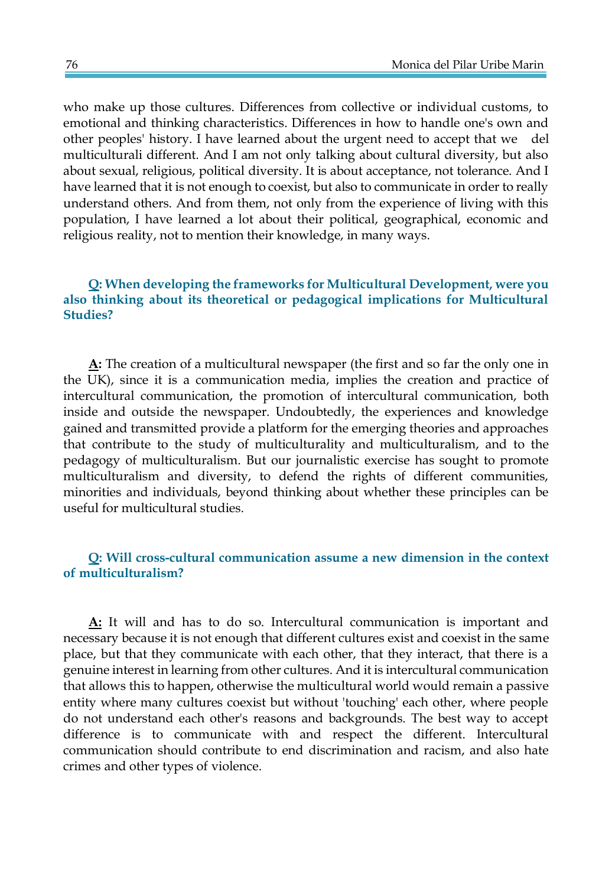who make up those cultures. Differences from collective or individual customs, to emotional and thinking characteristics. Differences in how to handle one's own and other peoples' history. I have learned about the urgent need to accept that we del multiculturali different. And I am not only talking about cultural diversity, but also about sexual, religious, political diversity. It is about acceptance, not tolerance. And I have learned that it is not enough to coexist, but also to communicate in order to really understand others. And from them, not only from the experience of living with this population, I have learned a lot about their political, geographical, economic and religious reality, not to mention their knowledge, in many ways.

# **Q: When developing the frameworks for Multicultural Development, were you also thinking about its theoretical or pedagogical implications for Multicultural Studies?**

**A:** The creation of a multicultural newspaper (the first and so far the only one in the UK), since it is a communication media, implies the creation and practice of intercultural communication, the promotion of intercultural communication, both inside and outside the newspaper. Undoubtedly, the experiences and knowledge gained and transmitted provide a platform for the emerging theories and approaches that contribute to the study of multiculturality and multiculturalism, and to the pedagogy of multiculturalism. But our journalistic exercise has sought to promote multiculturalism and diversity, to defend the rights of different communities, minorities and individuals, beyond thinking about whether these principles can be useful for multicultural studies.

# **Q: Will cross-cultural communication assume a new dimension in the context of multiculturalism?**

**A:** It will and has to do so. Intercultural communication is important and necessary because it is not enough that different cultures exist and coexist in the same place, but that they communicate with each other, that they interact, that there is a genuine interest in learning from other cultures. And it is intercultural communication that allows this to happen, otherwise the multicultural world would remain a passive entity where many cultures coexist but without 'touching' each other, where people do not understand each other's reasons and backgrounds. The best way to accept difference is to communicate with and respect the different. Intercultural communication should contribute to end discrimination and racism, and also hate crimes and other types of violence.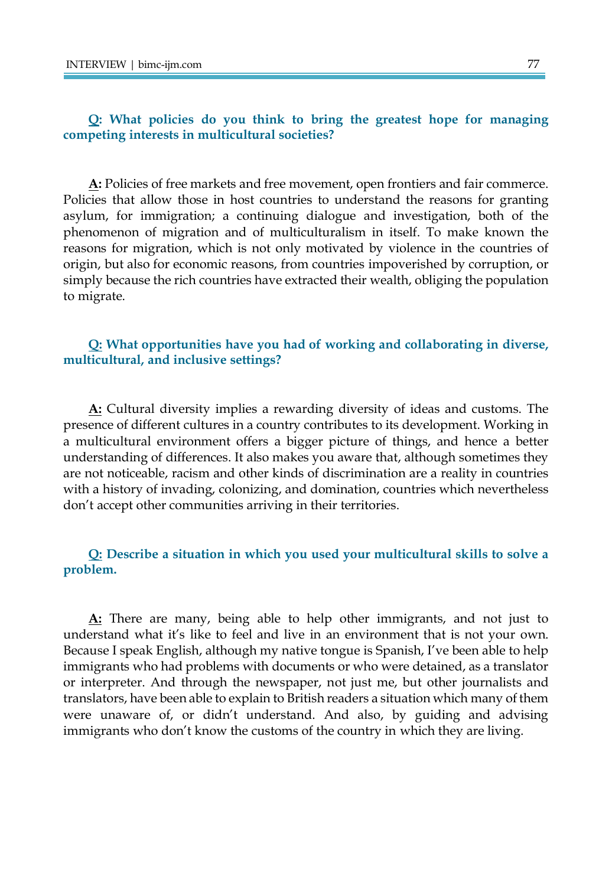# **Q: What policies do you think to bring the greatest hope for managing competing interests in multicultural societies?**

**A:** Policies of free markets and free movement, open frontiers and fair commerce. Policies that allow those in host countries to understand the reasons for granting asylum, for immigration; a continuing dialogue and investigation, both of the phenomenon of migration and of multiculturalism in itself. To make known the reasons for migration, which is not only motivated by violence in the countries of origin, but also for economic reasons, from countries impoverished by corruption, or simply because the rich countries have extracted their wealth, obliging the population to migrate.

### **Q: What opportunities have you had of working and collaborating in diverse, multicultural, and inclusive settings?**

**A:** Cultural diversity implies a rewarding diversity of ideas and customs. The presence of different cultures in a country contributes to its development. Working in a multicultural environment offers a bigger picture of things, and hence a better understanding of differences. It also makes you aware that, although sometimes they are not noticeable, racism and other kinds of discrimination are a reality in countries with a history of invading, colonizing, and domination, countries which nevertheless don't accept other communities arriving in their territories.

# **Q: Describe a situation in which you used your multicultural skills to solve a problem.**

**A:** There are many, being able to help other immigrants, and not just to understand what it's like to feel and live in an environment that is not your own. Because I speak English, although my native tongue is Spanish, I've been able to help immigrants who had problems with documents or who were detained, as a translator or interpreter. And through the newspaper, not just me, but other journalists and translators, have been able to explain to British readers a situation which many of them were unaware of, or didn't understand. And also, by guiding and advising immigrants who don't know the customs of the country in which they are living.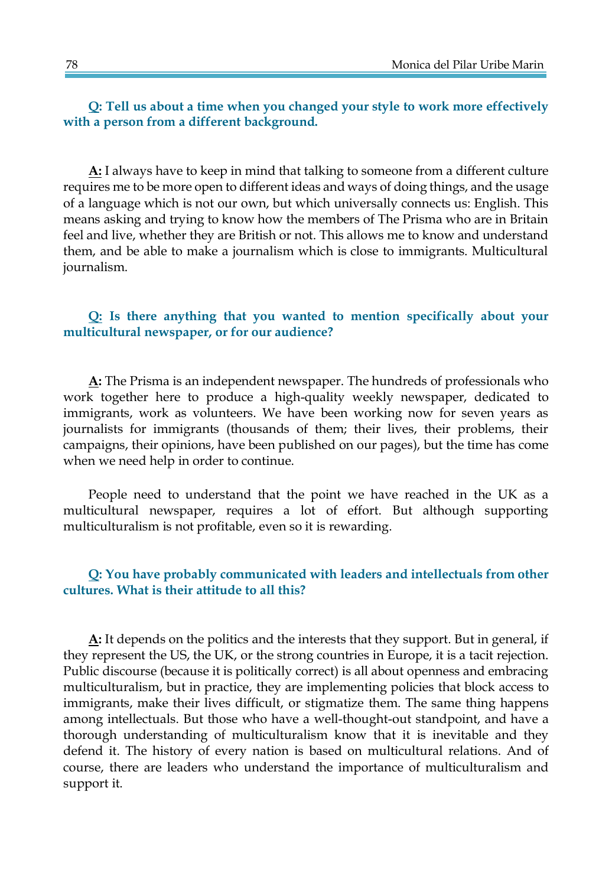**Q: Tell us about a time when you changed your style to work more effectively with a person from a different background.**

**A:** I always have to keep in mind that talking to someone from a different culture requires me to be more open to different ideas and ways of doing things, and the usage of a language which is not our own, but which universally connects us: English. This means asking and trying to know how the members of The Prisma who are in Britain feel and live, whether they are British or not. This allows me to know and understand them, and be able to make a journalism which is close to immigrants. Multicultural journalism.

## **Q: Is there anything that you wanted to mention specifically about your multicultural newspaper, or for our audience?**

**A:** The Prisma is an independent newspaper. The hundreds of professionals who work together here to produce a high-quality weekly newspaper, dedicated to immigrants, work as volunteers. We have been working now for seven years as journalists for immigrants (thousands of them; their lives, their problems, their campaigns, their opinions, have been published on our pages), but the time has come when we need help in order to continue.

People need to understand that the point we have reached in the UK as a multicultural newspaper, requires a lot of effort. But although supporting multiculturalism is not profitable, even so it is rewarding.

# **Q: You have probably communicated with leaders and intellectuals from other cultures. What is their attitude to all this?**

**A:** It depends on the politics and the interests that they support. But in general, if they represent the US, the UK, or the strong countries in Europe, it is a tacit rejection. Public discourse (because it is politically correct) is all about openness and embracing multiculturalism, but in practice, they are implementing policies that block access to immigrants, make their lives difficult, or stigmatize them. The same thing happens among intellectuals. But those who have a well-thought-out standpoint, and have a thorough understanding of multiculturalism know that it is inevitable and they defend it. The history of every nation is based on multicultural relations. And of course, there are leaders who understand the importance of multiculturalism and support it.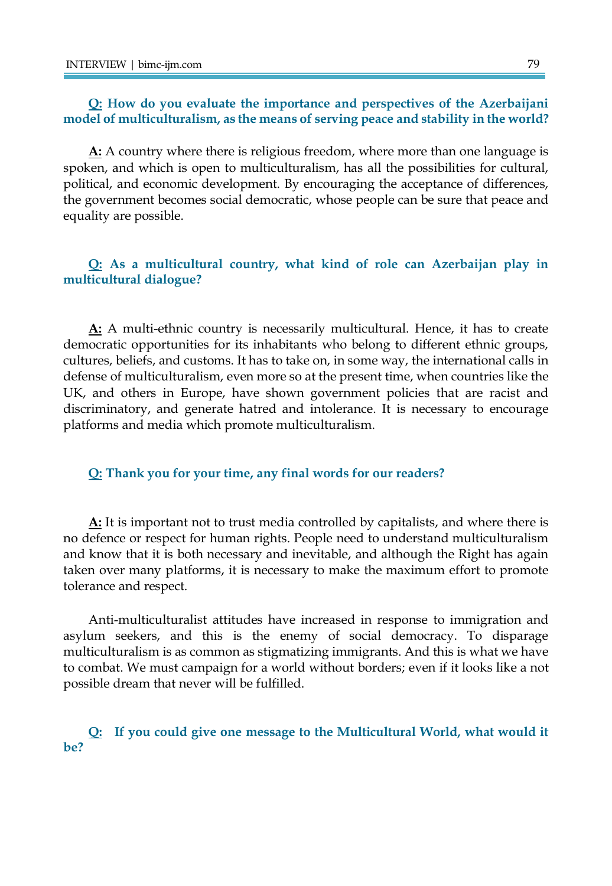#### **Q: How do you evaluate the importance and perspectives of the Azerbaijani model of multiculturalism, as the means of serving peace and stability in the world?**

**A:** A country where there is religious freedom, where more than one language is spoken, and which is open to multiculturalism, has all the possibilities for cultural, political, and economic development. By encouraging the acceptance of differences, the government becomes social democratic, whose people can be sure that peace and equality are possible.

# **Q: As a multicultural country, what kind of role can Azerbaijan play in multicultural dialogue?**

**A:** A multi-ethnic country is necessarily multicultural. Hence, it has to create democratic opportunities for its inhabitants who belong to different ethnic groups, cultures, beliefs, and customs. It has to take on, in some way, the international calls in defense of multiculturalism, even more so at the present time, when countries like the UK, and others in Europe, have shown government policies that are racist and discriminatory, and generate hatred and intolerance. It is necessary to encourage platforms and media which promote multiculturalism.

#### **Q: Thank you for your time, any final words for our readers?**

**A:** It is important not to trust media controlled by capitalists, and where there is no defence or respect for human rights. People need to understand multiculturalism and know that it is both necessary and inevitable, and although the Right has again taken over many platforms, it is necessary to make the maximum effort to promote tolerance and respect.

Anti-multiculturalist attitudes have increased in response to immigration and asylum seekers, and this is the enemy of social democracy. To disparage multiculturalism is as common as stigmatizing immigrants. And this is what we have to combat. We must campaign for a world without borders; even if it looks like a not possible dream that never will be fulfilled.

# **Q: If you could give one message to the Multicultural World, what would it be?**